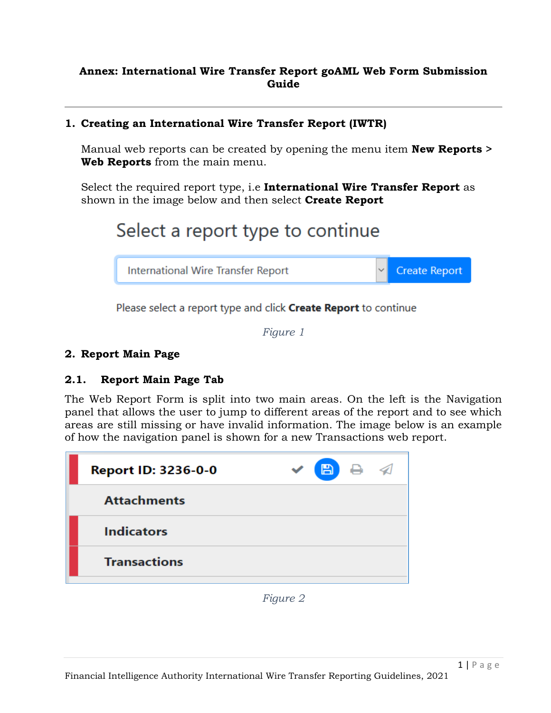#### **Annex: International Wire Transfer Report goAML Web Form Submission Guide**

#### **1. Creating an International Wire Transfer Report (IWTR)**

Manual web reports can be created by opening the menu item **New Reports > Web Reports** from the main menu.

Select the required report type, i.e **International Wire Transfer Report** as shown in the image below and then select **Create Report**

# Select a report type to continue



Please select a report type and click Create Report to continue

*Figure 1*

#### **2. Report Main Page**

# **2.1. Report Main Page Tab**

The Web Report Form is split into two main areas. On the left is the Navigation panel that allows the user to jump to different areas of the report and to see which areas are still missing or have invalid information. The image below is an example of how the navigation panel is shown for a new Transactions web report.

|  | <b>B</b> e<br>◁ |
|--|-----------------|
|  |                 |
|  |                 |
|  |                 |
|  |                 |

*Figure 2*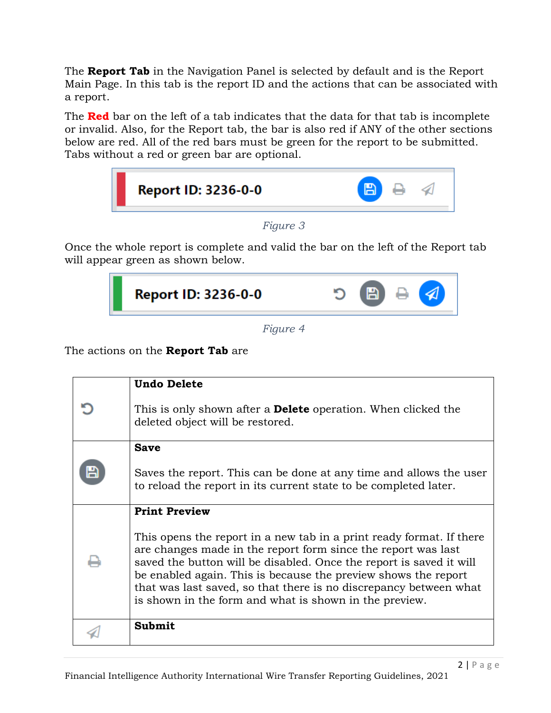The **Report Tab** in the Navigation Panel is selected by default and is the Report Main Page. In this tab is the report ID and the actions that can be associated with a report.

The **Red** bar on the left of a tab indicates that the data for that tab is incomplete or invalid. Also, for the Report tab, the bar is also red if ANY of the other sections below are red. All of the red bars must be green for the report to be submitted. Tabs without a red or green bar are optional.



*Figure 3*

Once the whole report is complete and valid the bar on the left of the Report tab will appear green as shown below.



*Figure 4*

The actions on the **Report Tab** are

| <b>Undo Delete</b>                                                                                                                                                                                                                                                                                                                                                                                            |
|---------------------------------------------------------------------------------------------------------------------------------------------------------------------------------------------------------------------------------------------------------------------------------------------------------------------------------------------------------------------------------------------------------------|
| This is only shown after a <b>Delete</b> operation. When clicked the<br>deleted object will be restored.                                                                                                                                                                                                                                                                                                      |
| <b>Save</b>                                                                                                                                                                                                                                                                                                                                                                                                   |
| Saves the report. This can be done at any time and allows the user<br>to reload the report in its current state to be completed later.                                                                                                                                                                                                                                                                        |
| <b>Print Preview</b>                                                                                                                                                                                                                                                                                                                                                                                          |
| This opens the report in a new tab in a print ready format. If there<br>are changes made in the report form since the report was last<br>saved the button will be disabled. Once the report is saved it will<br>be enabled again. This is because the preview shows the report<br>that was last saved, so that there is no discrepancy between what<br>is shown in the form and what is shown in the preview. |
| <b>Submit</b>                                                                                                                                                                                                                                                                                                                                                                                                 |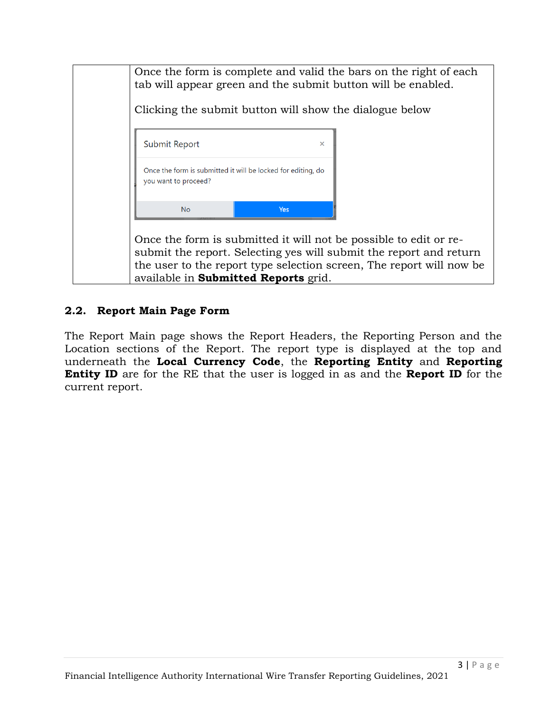

#### **2.2. Report Main Page Form**

The Report Main page shows the Report Headers, the Reporting Person and the Location sections of the Report. The report type is displayed at the top and underneath the **Local Currency Code**, the **Reporting Entity** and **Reporting Entity ID** are for the RE that the user is logged in as and the **Report ID** for the current report.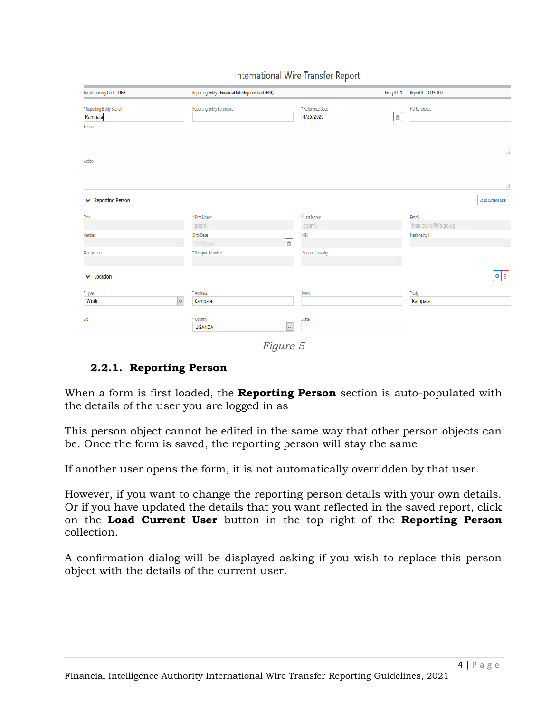|  | <b>International Wire Transfer Report</b> |  |  |  |
|--|-------------------------------------------|--|--|--|
|--|-------------------------------------------|--|--|--|

| Local Currency Code: UGX             | Reporting Entity: Financial Intelligence Unit (FIU) |                               | Entity ID: 1   | Report ID: 3715-0-0  |                   |
|--------------------------------------|-----------------------------------------------------|-------------------------------|----------------|----------------------|-------------------|
| * Reporting Entity Branch<br>Kampala | <b>Reporting Entity Reference</b>                   | * Reference Date<br>8/25/2020 | $\mathfrak{m}$ | <b>FIU Reference</b> |                   |
| Reason                               |                                                     |                               |                |                      |                   |
|                                      |                                                     |                               |                |                      | ă                 |
| Action                               |                                                     |                               |                |                      |                   |
|                                      |                                                     |                               |                |                      |                   |
|                                      |                                                     |                               |                |                      | ă                 |
| ↓ Reporting Person                   |                                                     |                               |                |                      | Load current user |
| Title                                | * First Name                                        | * Last Name                   |                | Email                |                   |
|                                      | goaml                                               | goaml                         |                | ivan.bwire@fia.go.ug |                   |
| Gender                               | <b>Birth Date</b>                                   | <b>NIN</b>                    |                | Nationality 1        |                   |
| Occupation                           | M/d/yyyy<br>* Passport Number                       | 曲<br>Passport Country         |                |                      |                   |
|                                      |                                                     |                               |                |                      |                   |
| $\vee$ Location                      |                                                     |                               |                |                      | $\circ$ $\circ$   |
| * Type                               | * Address                                           | Town                          |                | $\text{-}$ City      |                   |
| Work                                 | Kampala<br>$\checkmark$                             |                               |                | Kampala              |                   |
| Zip                                  | * Country                                           | State                         |                |                      |                   |
|                                      | <b>UGANDA</b>                                       | $\checkmark$                  |                |                      |                   |

*Figure 5*

#### **2.2.1. Reporting Person**

When a form is first loaded, the **Reporting Person** section is auto-populated with the details of the user you are logged in as

This person object cannot be edited in the same way that other person objects can be. Once the form is saved, the reporting person will stay the same

If another user opens the form, it is not automatically overridden by that user.

However, if you want to change the reporting person details with your own details. Or if you have updated the details that you want reflected in the saved report, click on the **Load Current User** button in the top right of the **Reporting Person** collection.

A confirmation dialog will be displayed asking if you wish to replace this person object with the details of the current user.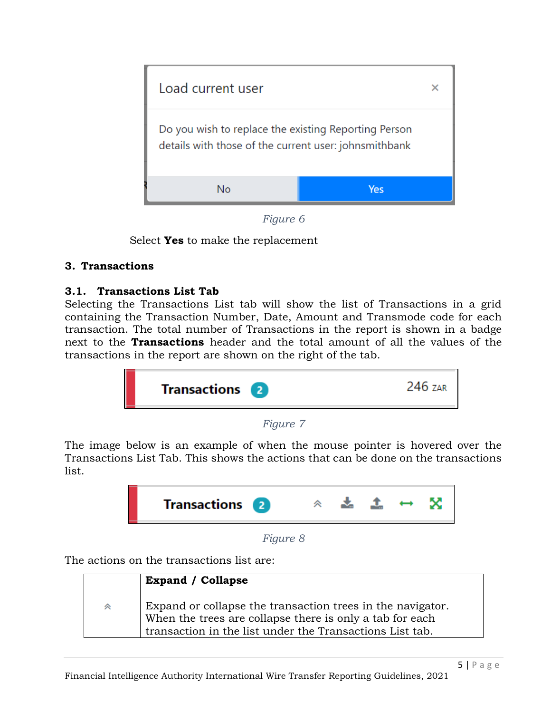

*Figure 6*

Select **Yes** to make the replacement

# **3. Transactions**

# **3.1. Transactions List Tab**

Selecting the Transactions List tab will show the list of Transactions in a grid containing the Transaction Number, Date, Amount and Transmode code for each transaction. The total number of Transactions in the report is shown in a badge next to the **Transactions** header and the total amount of all the values of the transactions in the report are shown on the right of the tab.

| <b>Transactions</b> 2 | 246 7AR |
|-----------------------|---------|
|                       |         |

# *Figure 7*

The image below is an example of when the mouse pointer is hovered over the Transactions List Tab. This shows the actions that can be done on the transactions list.



*Figure 8*

The actions on the transactions list are:

|   | <b>Expand</b> / Collapse                                                                                                                                                           |
|---|------------------------------------------------------------------------------------------------------------------------------------------------------------------------------------|
| " | Expand or collapse the transaction trees in the navigator.<br>When the trees are collapse there is only a tab for each<br>transaction in the list under the Transactions List tab. |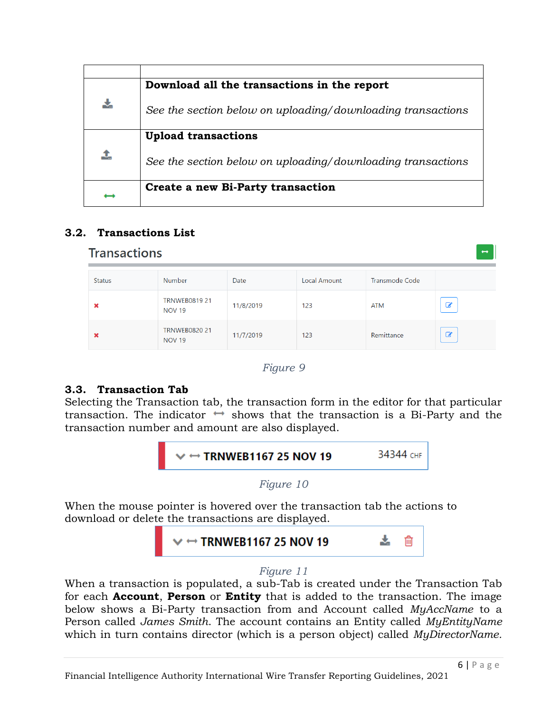|    | Download all the transactions in the report                 |
|----|-------------------------------------------------------------|
| ł, | See the section below on uploading/downloading transactions |
|    | <b>Upload transactions</b>                                  |
| 1  | See the section below on uploading/downloading transactions |
|    | Create a new Bi-Party transaction                           |
|    |                                                             |

# **3.2. Transactions List**

#### **Transactions** Status Number Date **Local Amount Transmode Code TRNWEB0819 21** 11/8/2019  $\mathbf G$  $123$ **ATM** × **NOV 19 TRNWEB0820 21**  $\mathcal{C}$ 11/7/2019 123 Remittance **NOV 19**

#### *Figure 9*

# **3.3. Transaction Tab**

Selecting the Transaction tab, the transaction form in the editor for that particular transaction. The indicator  $\leftrightarrow$  shows that the transaction is a Bi-Party and the transaction number and amount are also displayed.



When the mouse pointer is hovered over the transaction tab the actions to download or delete the transactions are displayed.



#### *Figure 11*

When a transaction is populated, a sub-Tab is created under the Transaction Tab for each **Account**, **Person** or **Entity** that is added to the transaction. The image below shows a Bi-Party transaction from and Account called *MyAccName* to a Person called *James Smith*. The account contains an Entity called *MyEntityName* which in turn contains director (which is a person object) called *MyDirectorName.*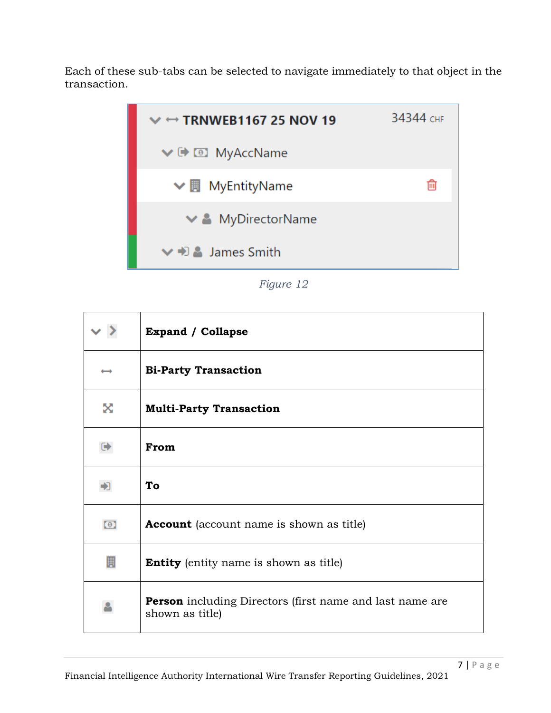Each of these sub-tabs can be selected to navigate immediately to that object in the transaction.



*Figure 12*

|                      | <b>Expand / Collapse</b>                                                           |
|----------------------|------------------------------------------------------------------------------------|
|                      | <b>Bi-Party Transaction</b>                                                        |
| X                    | <b>Multi-Party Transaction</b>                                                     |
| $\ddot{\phantom{0}}$ | From                                                                               |
|                      | To                                                                                 |
| $\circ$              | <b>Account</b> (account name is shown as title)                                    |
| 圓                    | <b>Entity</b> (entity name is shown as title)                                      |
| ≗                    | <b>Person</b> including Directors (first name and last name are<br>shown as title) |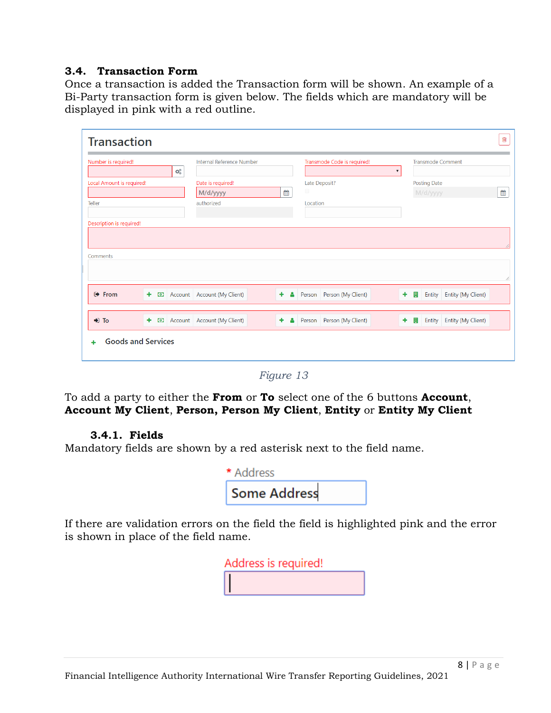#### **3.4. Transaction Form**

Once a transaction is added the Transaction form will be shown. An example of a Bi-Party transaction form is given below. The fields which are mandatory will be displayed in pink with a red outline.

| ¢ĝ<br>Local Amount is required!<br>Date is required!<br>Late Deposit?<br><b>Posting Date</b><br>$\Box$<br>雦<br>M/d/yyyy<br>M/d/yyyy<br>authorized<br>Teller<br>Location |                                     |
|-------------------------------------------------------------------------------------------------------------------------------------------------------------------------|-------------------------------------|
|                                                                                                                                                                         |                                     |
|                                                                                                                                                                         |                                     |
|                                                                                                                                                                         |                                     |
|                                                                                                                                                                         |                                     |
| Description is required!                                                                                                                                                |                                     |
|                                                                                                                                                                         |                                     |
|                                                                                                                                                                         |                                     |
| Comments                                                                                                                                                                |                                     |
|                                                                                                                                                                         |                                     |
|                                                                                                                                                                         |                                     |
|                                                                                                                                                                         |                                     |
| <b>■ From</b><br>Account Account (My Client)<br>٠<br>Person Person (My Client)<br>٠<br>買<br>٠<br>А<br>$\odot$                                                           | Entity<br><b>Entity (My Client)</b> |
|                                                                                                                                                                         |                                     |
|                                                                                                                                                                         |                                     |
| $\bigtriangledown$ To<br>Account Account (My Client)<br>Person   Person (My Client)<br>÷<br>۰<br>۰<br>$\bullet$<br>圓                                                    | <b>Entity (My Client)</b><br>Entity |

*Figure 13*

To add a party to either the **From** or **To** select one of the 6 buttons **Account**, **Account My Client**, **Person, Person My Client**, **Entity** or **Entity My Client**

#### **3.4.1. Fields**

Mandatory fields are shown by a red asterisk next to the field name.

| * Address           |  |
|---------------------|--|
| <b>Some Address</b> |  |

If there are validation errors on the field the field is highlighted pink and the error is shown in place of the field name.

| Address is required! |  |
|----------------------|--|
|                      |  |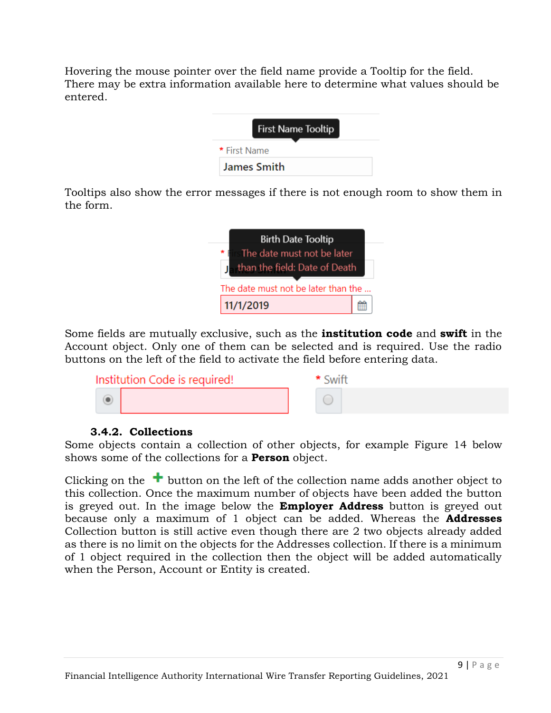Hovering the mouse pointer over the field name provide a Tooltip for the field. There may be extra information available here to determine what values should be entered.

| <b>First Name Tooltip</b> |  |
|---------------------------|--|
| * First Name              |  |
| <b>James Smith</b>        |  |

Tooltips also show the error messages if there is not enough room to show them in the form.



Some fields are mutually exclusive, such as the **institution code** and **swift** in the Account object. Only one of them can be selected and is required. Use the radio buttons on the left of the field to activate the field before entering data.



# **3.4.2. Collections**

Some objects contain a collection of other objects, for example [Figure 14](#page-9-0) below shows some of the collections for a **Person** object.

Clicking on the  $\pm$  button on the left of the collection name adds another object to this collection. Once the maximum number of objects have been added the button is greyed out. In the image below the **Employer Address** button is greyed out because only a maximum of 1 object can be added. Whereas the **Addresses** Collection button is still active even though there are 2 two objects already added as there is no limit on the objects for the Addresses collection. If there is a minimum of 1 object required in the collection then the object will be added automatically when the Person, Account or Entity is created.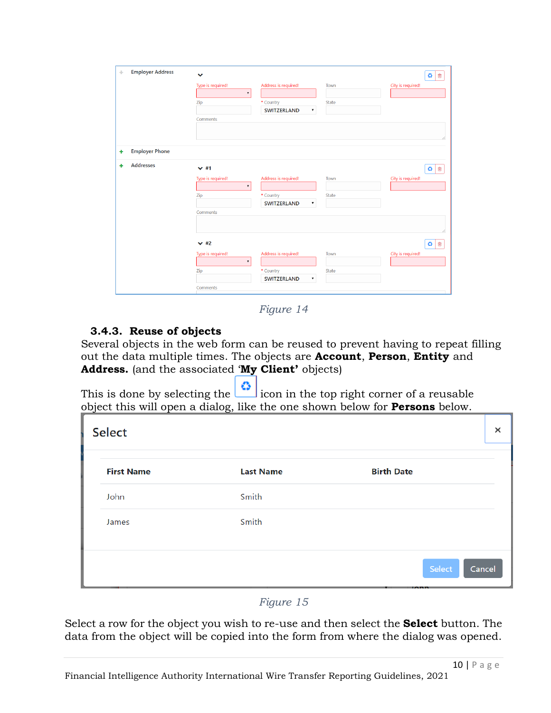| ÷ | <b>Employer Address</b> | $\checkmark$                            |                                                       |              | ۵<br>勔            |
|---|-------------------------|-----------------------------------------|-------------------------------------------------------|--------------|-------------------|
|   |                         | Type is required!<br>$\pmb{\mathrm{v}}$ | Address is required!                                  | Town         | City is required! |
|   |                         | Zip                                     | * Country<br><b>SWITZERLAND</b><br>$\pmb{\mathrm{v}}$ | <b>State</b> |                   |
|   |                         | Comments                                |                                                       |              |                   |
|   |                         |                                         |                                                       |              |                   |
|   | <b>Employer Phone</b>   |                                         |                                                       |              |                   |
| ٠ |                         |                                         |                                                       |              |                   |
| ٠ | <b>Addresses</b>        | $\times$ #1                             |                                                       |              | $\bullet$<br>勔    |
|   |                         | Type is required!<br>$\pmb{\mathrm{v}}$ | Address is required!                                  | Town         | City is required! |
|   |                         | Zip                                     | * Country                                             | State        |                   |
|   |                         |                                         | SWITZERLAND<br>$\pmb{\mathrm{v}}$                     |              |                   |
|   |                         | Comments                                |                                                       |              |                   |
|   |                         |                                         |                                                       |              |                   |
|   |                         |                                         |                                                       |              |                   |
|   |                         | $\times$ #2                             |                                                       |              | o<br>勔            |
|   |                         | Type is required!                       | Address is required!                                  | Town         | City is required! |
|   |                         | $\boldsymbol{\mathrm{v}}$               |                                                       |              |                   |
|   |                         | Zip                                     | * Country                                             | State        |                   |
|   |                         |                                         | <b>SWITZERLAND</b><br>$\pmb{\mathrm{v}}$              |              |                   |
|   |                         | Comments                                |                                                       |              |                   |

*Figure 14*

# <span id="page-9-0"></span>**3.4.3. Reuse of objects**

Several objects in the web form can be reused to prevent having to repeat filling out the data multiple times. The objects are **Account**, **Person**, **Entity** and **Address.** (and the associated '**My Client'** objects)

This is done by selecting the  $\left| \bullet \right|$  icon in the top right corner of a reusable object this will open a dialog, like the one shown below for **Persons** below.

| <b>Select</b>     |                  |                   | $\times$ |
|-------------------|------------------|-------------------|----------|
| <b>First Name</b> | <b>Last Name</b> | <b>Birth Date</b> |          |
| John              | Smith            |                   |          |
| James             | Smith            |                   |          |
|                   |                  | Select<br>Cancel  |          |

*Figure 15*

Select a row for the object you wish to re-use and then select the **Select** button. The data from the object will be copied into the form from where the dialog was opened.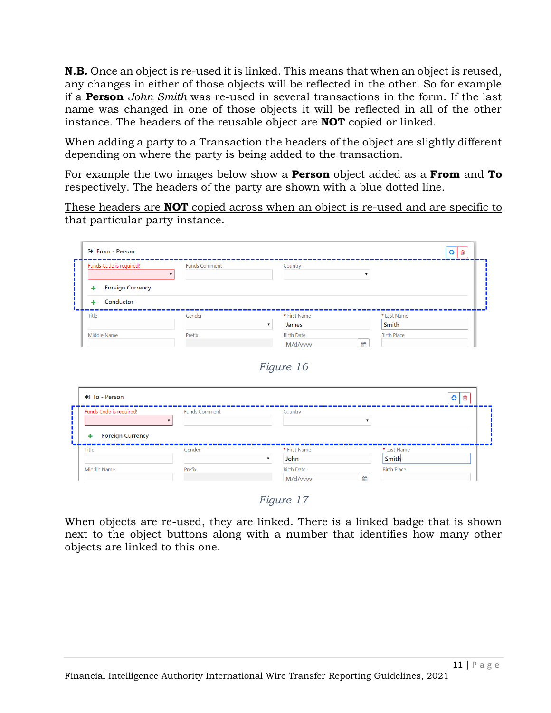**N.B.** Once an object is re-used it is linked. This means that when an object is reused, any changes in either of those objects will be reflected in the other. So for example if a **Person** *John Smith* was re-used in several transactions in the form. If the last name was changed in one of those objects it will be reflected in all of the other instance. The headers of the reusable object are **NOT** copied or linked.

When adding a party to a Transaction the headers of the object are slightly different depending on where the party is being added to the transaction.

For example the two images below show a **Person** object added as a **From** and **To**  respectively. The headers of the party are shown with a blue dotted line.

These headers are **NOT** copied across when an object is re-used and are specific to that particular party instance.

| Funds Code is required!      | <b>Funds Comment</b> | Country                            |   |                    |  |
|------------------------------|----------------------|------------------------------------|---|--------------------|--|
| <b>Foreign Currency</b><br>٠ |                      |                                    |   |                    |  |
| Conductor<br>٠               |                      |                                    |   |                    |  |
| Title                        | Gender               | * First Name                       |   | * Last Name        |  |
|                              |                      | James<br>$\boldsymbol{\mathrm{v}}$ |   | Smith              |  |
| Middle Name                  | Prefix               | <b>Birth Date</b>                  |   | <b>Birth Place</b> |  |
|                              |                      | M/d/vvvv                           | 倫 |                    |  |

| Funds Code is required!      | <b>Funds Comment</b> | Country      |             |  |
|------------------------------|----------------------|--------------|-------------|--|
| <b>Foreign Currency</b><br>٠ |                      |              |             |  |
| Title                        | Gender               | * First Name | * Last Name |  |
|                              |                      | John         | Smith       |  |

*Figure 17*

When objects are re-used, they are linked. There is a linked badge that is shown next to the object buttons along with a number that identifies how many other objects are linked to this one.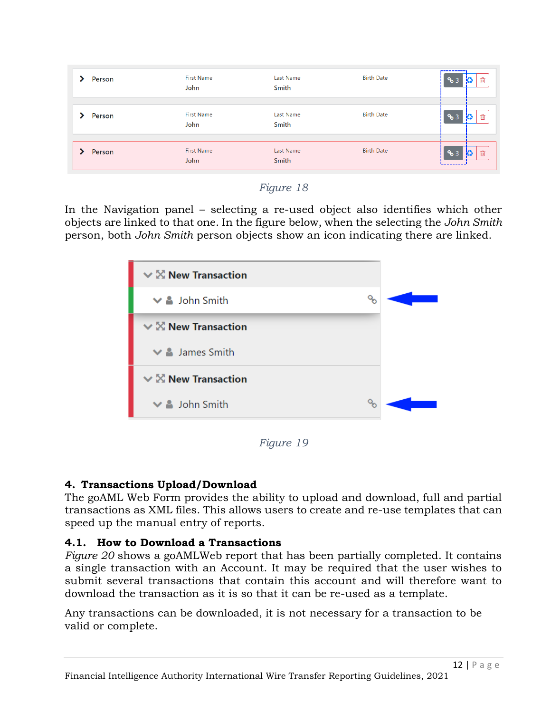| Person | <b>First Name</b><br>John | Last Name<br>Smith        | <b>Birth Date</b> | ----------<br>圙<br>ю<br>% 3 |
|--------|---------------------------|---------------------------|-------------------|-----------------------------|
| Person | <b>First Name</b><br>John | Last Name<br>Smith        | <b>Birth Date</b> | 圙<br>ю<br>ዔ 3               |
| Person | <b>First Name</b><br>John | <b>Last Name</b><br>Smith | <b>Birth Date</b> | 13<br>圙<br>ዔ 3              |

# *Figure 18*

In the Navigation panel – selecting a re-used object also identifies which other objects are linked to that one. In the figure below, when the selecting the *John Smith* person, both *John Smith* person objects show an icon indicating there are linked.

| $\vee$ X New Transaction      |   |  |
|-------------------------------|---|--|
| $\vee$ $\triangle$ John Smith | o |  |
| $\vee$ X New Transaction      |   |  |
| $\vee$ <b>4</b> James Smith   |   |  |
| $\vee$ X New Transaction      |   |  |
| $\vee$ $\triangle$ John Smith | Q |  |

*Figure 19*

# **4. Transactions Upload/Download**

The goAML Web Form provides the ability to upload and download, full and partial transactions as XML files. This allows users to create and re-use templates that can speed up the manual entry of reports.

# **4.1. How to Download a Transactions**

*[Figure 20](#page-12-0)* shows a goAMLWeb report that has been partially completed. It contains a single transaction with an Account. It may be required that the user wishes to submit several transactions that contain this account and will therefore want to download the transaction as it is so that it can be re-used as a template.

Any transactions can be downloaded, it is not necessary for a transaction to be valid or complete.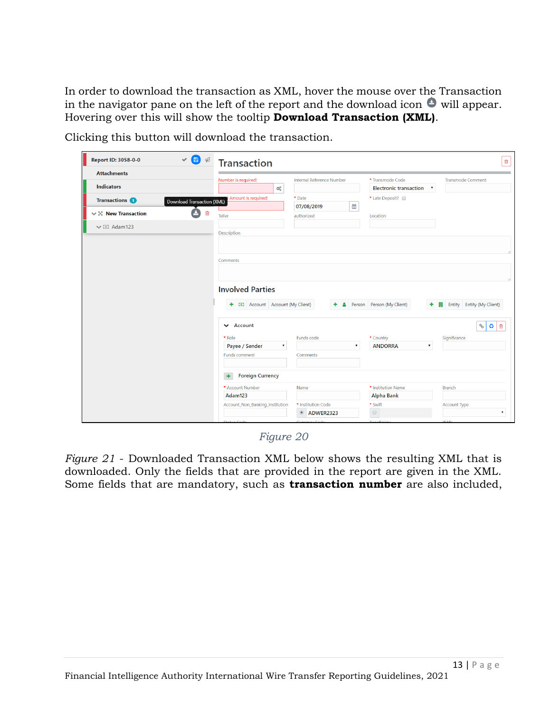In order to download the transaction as XML, hover the mouse over the Transaction in the navigator pane on the left of the report and the download icon  $\bullet$  will appear. Hovering over this will show the tooltip **Download Transaction (XML)**.

| Report ID: 3058-0-0                 | VBA<br><b>Transaction</b>                                |                                               |                                      | 會                                    |
|-------------------------------------|----------------------------------------------------------|-----------------------------------------------|--------------------------------------|--------------------------------------|
| <b>Attachments</b>                  | Number is required!                                      | Internal Reference Number                     | * Transmode Code                     | <b>Transmode Comment</b>             |
| <b>Indicators</b>                   | $\mathbb{Q}^0_0$                                         |                                               | <b>Electronic transaction</b>        | $\overline{\phantom{a}}$             |
| <b>Transactions</b>                 | Amount is required!<br><b>Download Transaction (XML)</b> | * Date                                        | * Late Deposit?                      |                                      |
| $\vee$ $\mathbb{X}$ New Transaction | û<br><b>Teller</b>                                       | 曲<br>07/08/2019<br>authorized                 | Location                             |                                      |
| $\vee$ [0] Adam123                  |                                                          |                                               |                                      |                                      |
|                                     | Description                                              |                                               |                                      |                                      |
|                                     |                                                          |                                               |                                      |                                      |
|                                     |                                                          |                                               |                                      |                                      |
|                                     | Comments                                                 |                                               |                                      |                                      |
|                                     |                                                          |                                               |                                      |                                      |
|                                     |                                                          |                                               |                                      |                                      |
|                                     | <b>Involved Parties</b>                                  |                                               |                                      |                                      |
|                                     | + 0 Account Account (My Client)                          |                                               | + & Person Person (My Client)        | + <b>B</b> Entity Entity (My Client) |
|                                     |                                                          |                                               |                                      |                                      |
|                                     | $\vee$ Account                                           |                                               |                                      | ◎   命<br>$\mathcal{S}_{\mathcal{O}}$ |
|                                     | * Role                                                   | Funds code                                    | * Country                            | Significance                         |
|                                     | Payee / Sender                                           | $\pmb{\mathrm{v}}$<br>$\overline{\mathbf{v}}$ | <b>ANDORRA</b><br>$\pmb{\mathrm{v}}$ |                                      |
|                                     | Funds comment                                            | Comments                                      |                                      |                                      |
|                                     | <b>Foreign Currency</b>                                  |                                               |                                      |                                      |
|                                     | * Account Number                                         | Name                                          | * Institution Name                   | <b>Branch</b>                        |
|                                     | Adam123                                                  |                                               | <b>Alpha Bank</b>                    |                                      |
|                                     | Account_Non_Banking_Institution                          | * Institution Code                            | * Swift                              | Account Type                         |
|                                     |                                                          | $^{\circ}$<br>ADWER2323                       | $\odot$                              | ۷.                                   |
|                                     | Status Codo                                              | Curroncy Code                                 | <b>Ronofician</b>                    | <b>IRANL</b>                         |

Clicking this button will download the transaction.

*Figure 20*

<span id="page-12-0"></span>*Figure 21* - [Downloaded Transaction XML](#page-13-0) below shows the resulting XML that is downloaded. Only the fields that are provided in the report are given in the XML. Some fields that are mandatory, such as **transaction number** are also included,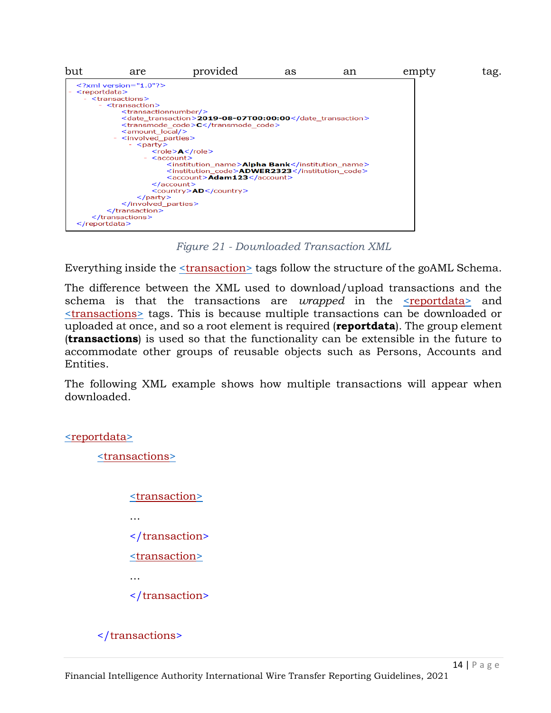

*Figure 21 - Downloaded Transaction XML*

<span id="page-13-0"></span>Everything inside the <u><transaction></u> tags follow the structure of the goAML Schema.

The difference between the XML used to download/upload transactions and the schema is that the transactions are *wrapped* in the <u>reportdata</u> and [<transactions>](file:///C:/Users/nuttall/Downloads/TRN_%20(1).xml) tags. This is because multiple transactions can be downloaded or uploaded at once, and so a root element is required (**reportdata**). The group element (**transactions**) is used so that the functionality can be extensible in the future to accommodate other groups of reusable objects such as Persons, Accounts and Entities.

The following XML example shows how multiple transactions will appear when downloaded.

#### [<reportdata>](file:///C:/Users/nuttall/Downloads/TRN_%20(1).xml)

[<transactions>](file:///C:/Users/nuttall/Downloads/TRN_%20(1).xml)

[<transaction>](file:///C:/Users/nuttall/Downloads/TRN_%20(1).xml) … </transaction> [<transaction>](file:///C:/Users/nuttall/Downloads/TRN_%20(1).xml) … </transaction>

# </transactions>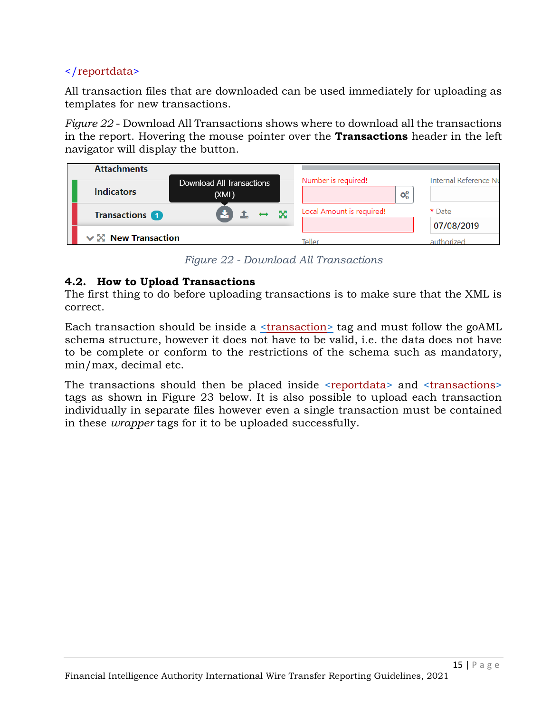# </reportdata>

All transaction files that are downloaded can be used immediately for uploading as templates for new transactions.

*Figure 22* - [Download All Transactions](#page-14-0) shows where to download all the transactions in the report. Hovering the mouse pointer over the **Transactions** header in the left navigator will display the button.

| <b>Attachments</b>       |                                           |                           |                       |
|--------------------------|-------------------------------------------|---------------------------|-----------------------|
| <b>Indicators</b>        | <b>Download All Transactions</b><br>(XML) | Number is required!<br>œ  | Internal Reference Nu |
| <b>Transactions</b>      | $\infty$                                  | Local Amount is required! | * Date                |
| $\vee$ X New Transaction |                                           | Teller                    | 07/08/2019            |

*Figure 22 - Download All Transactions*

# <span id="page-14-0"></span>**4.2. How to Upload Transactions**

The first thing to do before uploading transactions is to make sure that the XML is correct.

Each transaction should be inside a [<transaction>](file:///C:/Users/nuttall/Downloads/TRN_%20(1).xml) tag and must follow the goAML schema structure, however it does not have to be valid, i.e. the data does not have to be complete or conform to the restrictions of the schema such as mandatory, min/max, decimal etc.

The transactions should then be placed inside [<reportdata>](file:///C:/Users/nuttall/Downloads/TRN_%20(1).xml) and [<transactions>](file:///C:/Users/nuttall/Downloads/TRN_%20(1).xml) tags as shown in [Figure 23](#page-15-0) below. It is also possible to upload each transaction individually in separate files however even a single transaction must be contained in these *wrapper* tags for it to be uploaded successfully.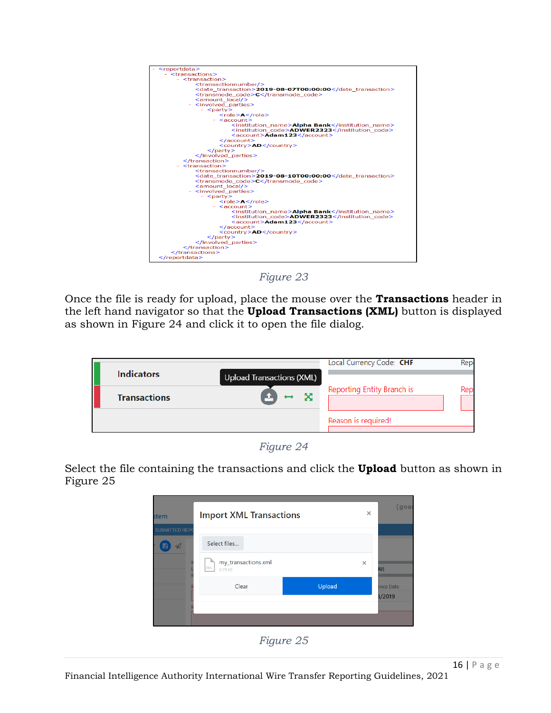

*Figure 23*

<span id="page-15-0"></span>Once the file is ready for upload, place the mouse over the **Transactions** header in the left hand navigator so that the **Upload Transactions (XML)** button is displayed as shown in [Figure 24](#page-15-1) and click it to open the file dialog.

| <b>Indicators</b>   |                                       | Local Currency Code: CHF   | Rep        |
|---------------------|---------------------------------------|----------------------------|------------|
| <b>Transactions</b> | <b>Upload Transactions (XML)</b><br>X | Reporting Entity Branch is | <b>Rep</b> |
|                     |                                       | Reason is required!        |            |

*Figure 24*

<span id="page-15-1"></span>Select the file containing the transactions and click the **Upload** button as shown in [Figure 25](#page-15-2)

<span id="page-15-2"></span>

*Figure 25*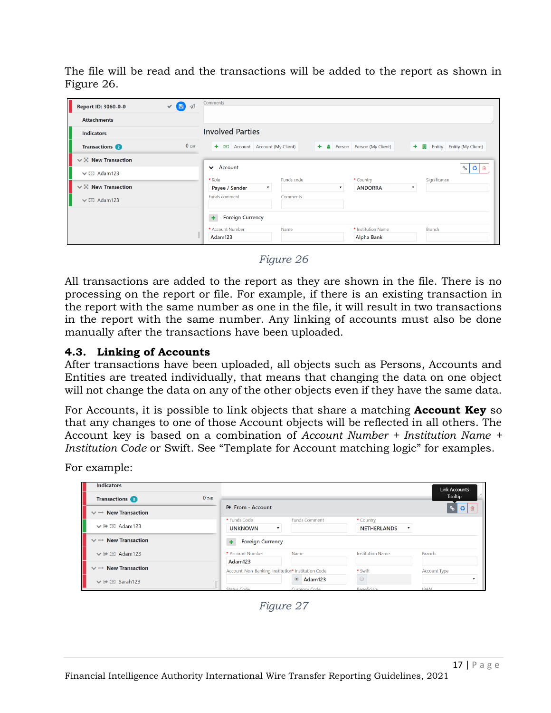The file will be read and the transactions will be added to the report as shown in [Figure 26.](#page-16-0)

| $\vee$ 8<br>Report ID: 3060-0-0<br>$\triangleleft$ | Comments                                                                                                      |
|----------------------------------------------------|---------------------------------------------------------------------------------------------------------------|
| <b>Attachments</b>                                 |                                                                                                               |
| <b>Indicators</b>                                  | <b>Involved Parties</b>                                                                                       |
| $0$ CHF<br><b>Transactions</b>                     | $\bigoplus$ Account Account (My Client)<br>+ & Person Person (My Client)<br>+     Entity   Entity (My Client) |
| $\vee$ X New Transaction                           |                                                                                                               |
| $\vee$ I Adam123                                   | Account<br>$\frac{1}{2}$<br>$\checkmark$<br>面<br>Significance<br>* Role<br>Funds code<br>* Country            |
| $\vee$ X New Transaction                           | Payee / Sender<br><b>ANDORRA</b><br>$\pmb{\mathrm{v}}$                                                        |
| $\vee$ [9] Adam123                                 | Funds comment<br>Comments                                                                                     |
|                                                    | <b>Foreign Currency</b><br>٠                                                                                  |
|                                                    | * Account Number<br>Name<br>* Institution Name<br><b>Branch</b><br><b>Alpha Bank</b><br>Adam123               |

*Figure 26*

<span id="page-16-0"></span>All transactions are added to the report as they are shown in the file. There is no processing on the report or file. For example, if there is an existing transaction in the report with the same number as one in the file, it will result in two transactions in the report with the same number. Any linking of accounts must also be done manually after the transactions have been uploaded.

### **4.3. Linking of Accounts**

After transactions have been uploaded, all objects such as Persons, Accounts and Entities are treated individually, that means that changing the data on one object will not change the data on any of the other objects even if they have the same data.

For Accounts, it is possible to link objects that share a matching **Account Key** so that any changes to one of those Account objects will be reflected in all others. The Account key is based on a combination of *Account Number + Institution Name + Institution Code* or Swift. See "[Template for Account matching logic](#page-17-0)" for examples.

For example:

<span id="page-16-1"></span>

| <b>Indicators</b>                        |                                                   |                      |                         | <b>Link Accounts</b> |
|------------------------------------------|---------------------------------------------------|----------------------|-------------------------|----------------------|
| 0 zAR<br><b>Transactions</b>             |                                                   |                      |                         | Tooltip              |
| $\vee$ $\leftrightarrow$ New Transaction | □ From - Account                                  |                      |                         | ◎ 自                  |
|                                          | * Funds Code                                      | <b>Funds Comment</b> | * Country               |                      |
| $\vee$ $\rightarrow$ [0] Adam123         | <b>UNKNOWN</b>                                    | $\mathbf{v}$         | <b>NETHERLANDS</b>      | 7                    |
| $\vee$ $\leftrightarrow$ New Transaction | <b>Foreign Currency</b>                           |                      |                         |                      |
| $\vee$ $\rightarrow$ [0] Adam123         | * Account Number                                  | Name                 | <b>Institution Name</b> | <b>Branch</b>        |
|                                          | Adam123                                           |                      |                         |                      |
| $\vee$ $\leftrightarrow$ New Transaction | Account_Non_Banking_Institution* Institution Code |                      | * Swift                 | <b>Account Type</b>  |
| $\vee$ $\rightarrow$ 0 Sarah123          |                                                   | $\bullet$ Adam123    | $\circledcirc$          |                      |
|                                          | Status Code                                       | Currency Code        | <b>Reneficiary</b>      | <b>IRAN</b>          |

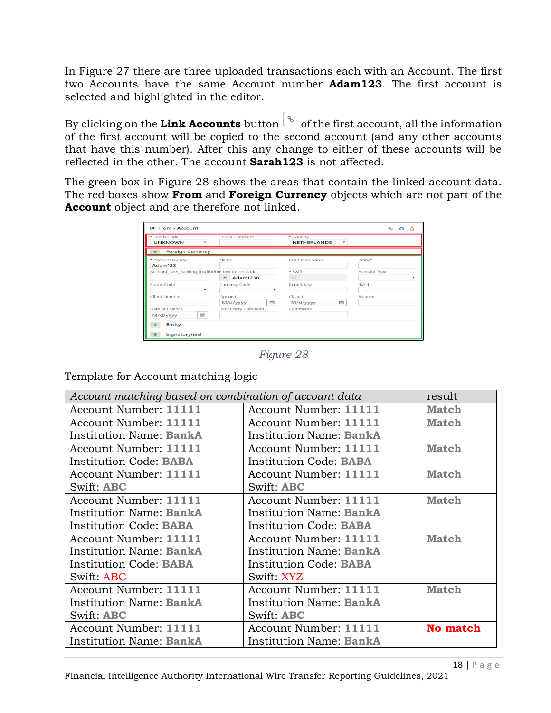In [Figure 27](#page-16-1) there are three uploaded transactions each with an Account. The first two Accounts have the same Account number **Adam123**. The first account is selected and highlighted in the editor.

By clicking on the **Link Accounts** button  $\begin{bmatrix} \infty \\ \infty \end{bmatrix}$  of the first account, all the information of the first account will be copied to the second account (and any other accounts that have this number). After this any change to either of these accounts will be reflected in the other. The account **Sarah123** is not affected.

The green box in [Figure 28](#page-17-1) shows the areas that contain the linked account data. The red boxes show **From** and **Foreign Currency** objects which are not part of the **Account** object and are therefore not linked.

| □ From - Account                                           |                                   |                                                              | $\mathcal{P}$<br>Ø<br>ŵ |
|------------------------------------------------------------|-----------------------------------|--------------------------------------------------------------|-------------------------|
| * Funds Code<br><b>UNKNOWN</b><br>$\overline{\phantom{a}}$ | <b>Funds Comment</b>              | * Country<br><b>NETHERLANDS</b><br>$\boldsymbol{\mathrm{v}}$ |                         |
| <b>Foreign Currency</b>                                    |                                   |                                                              |                         |
| * Account Number<br>Adam123                                | Name                              | <b>Institution Name</b>                                      | <b>Branch</b>           |
| Account_Non_Banking_Institution* Institution Code          | $\circledcirc$<br><b>Adam1236</b> | * Swift<br>$\circledcirc$                                    | <b>Account Type</b>     |
| Status Code<br>۰                                           | <b>Currency Code</b><br>٠         | Beneficiary                                                  | <b>IBAN</b>             |
| <b>Client Number</b>                                       | Opened<br>曲<br>M/d/yyyy           | Closed<br>m<br>M/d/yyyy                                      | Balance                 |
| Date of Balance<br>M/d/yyyy                                | <b>Beneficiary Comment</b>        | Comments                                                     |                         |
| <b>Entity</b>                                              |                                   |                                                              |                         |
| Signatory(ies)                                             |                                   |                                                              |                         |

*Figure 28*

<span id="page-17-1"></span><span id="page-17-0"></span>Template for Account matching logic

| Account matching based on combination of account data |                                | result          |
|-------------------------------------------------------|--------------------------------|-----------------|
| Account Number: 11111                                 | Account Number: 11111          | <b>Match</b>    |
| Account Number: 11111                                 | Account Number: 11111          | <b>Match</b>    |
| <b>Institution Name: BankA</b>                        | <b>Institution Name: BankA</b> |                 |
| Account Number: 11111                                 | Account Number: 11111          | <b>Match</b>    |
| <b>Institution Code: BABA</b>                         | <b>Institution Code: BABA</b>  |                 |
| Account Number: 11111                                 | Account Number: 11111          | <b>Match</b>    |
| Swift: ABC                                            | Swift: ABC                     |                 |
| Account Number: 11111                                 | Account Number: 11111          | <b>Match</b>    |
| <b>Institution Name: BankA</b>                        | Institution Name: BankA        |                 |
| <b>Institution Code: BABA</b>                         | <b>Institution Code: BABA</b>  |                 |
| Account Number: 11111                                 | Account Number: 11111          | <b>Match</b>    |
| <b>Institution Name: BankA</b>                        | Institution Name: BankA        |                 |
| <b>Institution Code: BABA</b>                         | <b>Institution Code: BABA</b>  |                 |
| Swift: ABC                                            | Swift: XYZ                     |                 |
| Account Number: 11111                                 | Account Number: 11111          | <b>Match</b>    |
| <b>Institution Name: BankA</b>                        | Institution Name: BankA        |                 |
| Swift: ABC                                            | Swift: ABC                     |                 |
| Account Number: 11111                                 | Account Number: 11111          | <b>No match</b> |
| <b>Institution Name: BankA</b>                        | Institution Name: BankA        |                 |